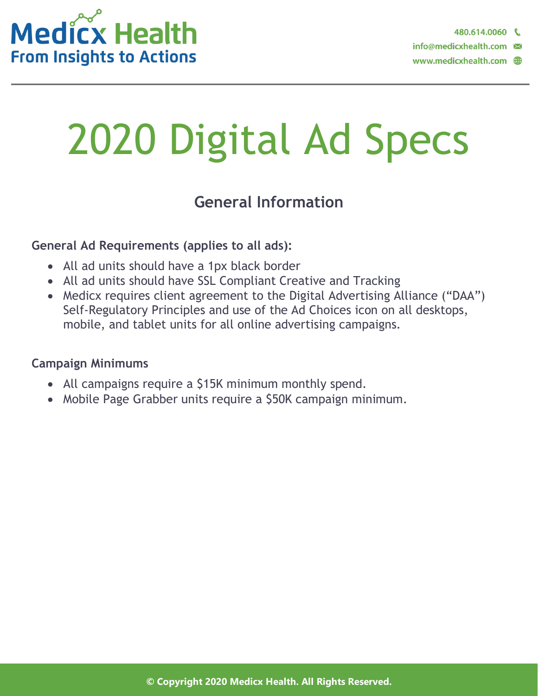

# 2020 Digital Ad Specs

### **General Information**

#### **General Ad Requirements (applies to all ads):**

- All ad units should have a 1px black border
- All ad units should have SSL Compliant Creative and Tracking
- Medicx requires client agreement to the Digital Advertising Alliance ("DAA") Self-Regulatory Principles and use of the Ad Choices icon on all desktops, mobile, and tablet units for all online advertising campaigns.

#### **Campaign Minimums**

- All campaigns require a \$15K minimum monthly spend.
- Mobile Page Grabber units require a \$50K campaign minimum.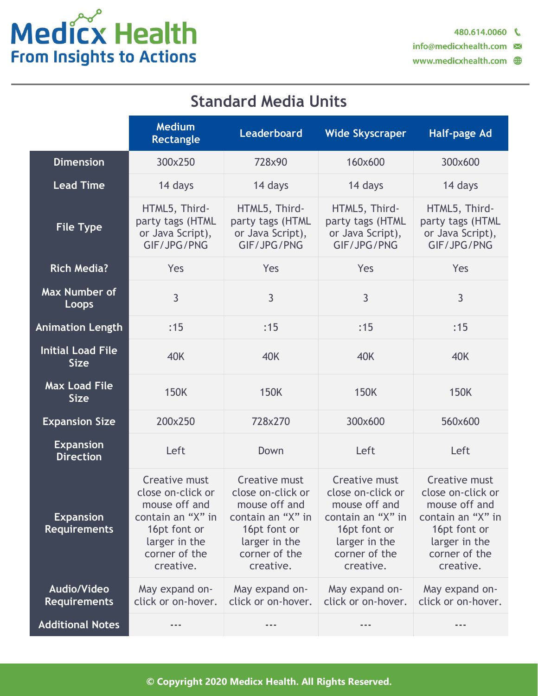# Medicx Health **From Insights to Actions**

### **Standard Media Units**

|                                           | <b>Medium</b><br>Rectangle                                                                                                              | Leaderboard                                                                                                                                    | <b>Wide Skyscraper</b>                                                                                                                  | <b>Half-page Ad</b>                                                                                                                     |
|-------------------------------------------|-----------------------------------------------------------------------------------------------------------------------------------------|------------------------------------------------------------------------------------------------------------------------------------------------|-----------------------------------------------------------------------------------------------------------------------------------------|-----------------------------------------------------------------------------------------------------------------------------------------|
| <b>Dimension</b>                          | 300x250                                                                                                                                 | 728x90                                                                                                                                         | 160x600                                                                                                                                 | 300x600                                                                                                                                 |
| <b>Lead Time</b>                          | 14 days                                                                                                                                 | 14 days                                                                                                                                        | 14 days                                                                                                                                 | 14 days                                                                                                                                 |
| <b>File Type</b>                          | HTML5, Third-<br>party tags (HTML<br>or Java Script),<br>GIF/JPG/PNG                                                                    | HTML5, Third-<br>party tags (HTML<br>or Java Script),<br>GIF/JPG/PNG                                                                           | HTML5, Third-<br>party tags (HTML<br>or Java Script),<br>GIF/JPG/PNG                                                                    | HTML5, Third-<br>party tags (HTML<br>or Java Script),<br>GIF/JPG/PNG                                                                    |
| <b>Rich Media?</b>                        | Yes                                                                                                                                     | Yes                                                                                                                                            | Yes                                                                                                                                     | Yes                                                                                                                                     |
| Max Number of<br>Loops                    | 3                                                                                                                                       | $\overline{3}$                                                                                                                                 | 3                                                                                                                                       | 3                                                                                                                                       |
| <b>Animation Length</b>                   | :15                                                                                                                                     | :15                                                                                                                                            | :15                                                                                                                                     | :15                                                                                                                                     |
| <b>Initial Load File</b><br><b>Size</b>   | <b>40K</b>                                                                                                                              | <b>40K</b>                                                                                                                                     | <b>40K</b>                                                                                                                              | 40K                                                                                                                                     |
| <b>Max Load File</b><br><b>Size</b>       | <b>150K</b>                                                                                                                             | <b>150K</b>                                                                                                                                    | <b>150K</b>                                                                                                                             | <b>150K</b>                                                                                                                             |
| <b>Expansion Size</b>                     | 200x250                                                                                                                                 | 728x270                                                                                                                                        | 300x600                                                                                                                                 | 560x600                                                                                                                                 |
| <b>Expansion</b><br><b>Direction</b>      | Left                                                                                                                                    | Down                                                                                                                                           | Left                                                                                                                                    | Left                                                                                                                                    |
| <b>Expansion</b><br><b>Requirements</b>   | Creative must<br>close on-click or<br>mouse off and<br>contain an "X" in<br>16pt font or<br>larger in the<br>corner of the<br>creative. | <b>Creative must</b><br>close on-click or<br>mouse off and<br>contain an "X" in<br>16pt font or<br>larger in the<br>corner of the<br>creative. | Creative must<br>close on-click or<br>mouse off and<br>contain an "X" in<br>16pt font or<br>larger in the<br>corner of the<br>creative. | Creative must<br>close on-click or<br>mouse off and<br>contain an "X" in<br>16pt font or<br>larger in the<br>corner of the<br>creative. |
| <b>Audio/Video</b><br><b>Requirements</b> | May expand on-<br>click or on-hover.                                                                                                    | May expand on-<br>click or on-hover.                                                                                                           | May expand on-<br>click or on-hover.                                                                                                    | May expand on-<br>click or on-hover.                                                                                                    |
| <b>Additional Notes</b>                   |                                                                                                                                         |                                                                                                                                                |                                                                                                                                         |                                                                                                                                         |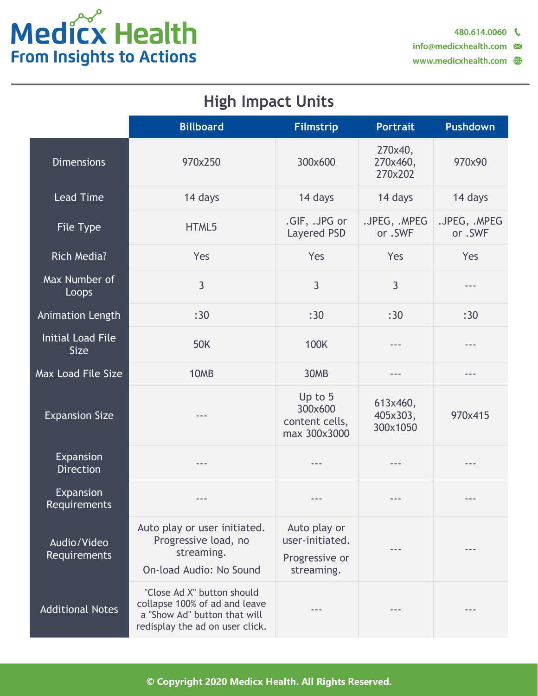# Medicx Health **From Insights to Actions**

info@medicxhealth.com

### **High Impact Units**

|                                         | <b>Billboard</b>                                                                                                               | <b>Filmstrip</b>                                                | <b>Portrait</b>                  | <b>Pushdown</b>         |
|-----------------------------------------|--------------------------------------------------------------------------------------------------------------------------------|-----------------------------------------------------------------|----------------------------------|-------------------------|
| <b>Dimensions</b>                       | 970x250                                                                                                                        | 300x600                                                         | 270×40,<br>270x460,<br>270x202   | 970x90                  |
| <b>Lead Time</b>                        | 14 days                                                                                                                        | 14 days                                                         | 14 days                          | 14 days                 |
| File Type                               | HTML5                                                                                                                          | .GIF, .JPG or<br>Layered PSD                                    | .JPEG, .MPEG<br>or .SWF          | .JPEG, .MPEG<br>or .SWF |
| <b>Rich Media?</b>                      | Yes                                                                                                                            | Yes                                                             | Yes                              | Yes                     |
| Max Number of<br>Loops                  | $\overline{3}$                                                                                                                 | $\overline{3}$                                                  | 3                                | ---                     |
| Animation Length                        | :30                                                                                                                            | :30                                                             | :30                              | :30                     |
| <b>Initial Load File</b><br><b>Size</b> | <b>50K</b>                                                                                                                     | <b>100K</b>                                                     | $---$                            | $- - -$                 |
| Max Load File Size                      | 10MB                                                                                                                           | 30MB                                                            | ---                              | ---                     |
| <b>Expansion Size</b>                   |                                                                                                                                | Up to 5<br>300x600<br>content cells,<br>max 300x3000            | 613x460,<br>405x303,<br>300x1050 | 970x415                 |
| Expansion<br><b>Direction</b>           | ---                                                                                                                            | $- - -$                                                         | $- - -$                          | $- - -$                 |
| Expansion<br><b>Requirements</b>        | ---                                                                                                                            |                                                                 |                                  |                         |
| Audio/Video<br>Requirements             | Auto play or user initiated.<br>Progressive load, no<br>streaming.<br>On-load Audio: No Sound                                  | Auto play or<br>user-initiated.<br>Progressive or<br>streaming. |                                  |                         |
| <b>Additional Notes</b>                 | "Close Ad X" button should<br>collapse 100% of ad and leave<br>a "Show Ad" button that will<br>redisplay the ad on user click. |                                                                 |                                  |                         |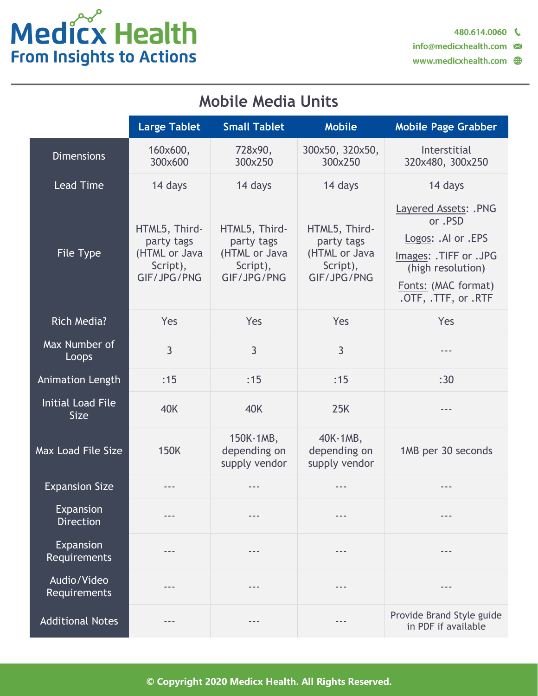# Medicx Health **From Insights to Actions**

info@medicxhealth.com

### **Mobile Media Units**

|                                         | <b>Large Tablet</b>                                                     | <b>Small Tablet</b>                                                     | <b>Mobile</b>                                                                                                                                                                                                                                                                                                                                                                                | <b>Mobile Page Grabber</b>                                                                                                                        |
|-----------------------------------------|-------------------------------------------------------------------------|-------------------------------------------------------------------------|----------------------------------------------------------------------------------------------------------------------------------------------------------------------------------------------------------------------------------------------------------------------------------------------------------------------------------------------------------------------------------------------|---------------------------------------------------------------------------------------------------------------------------------------------------|
| <b>Dimensions</b>                       | 160x600,<br>300×600                                                     | 728x90,<br>300x250                                                      | 300x50, 320x50,<br>300x250                                                                                                                                                                                                                                                                                                                                                                   | Interstitial<br>320x480, 300x250                                                                                                                  |
| <b>Lead Time</b>                        | 14 days                                                                 | 14 days                                                                 | 14 days                                                                                                                                                                                                                                                                                                                                                                                      | 14 days                                                                                                                                           |
| File Type                               | HTML5, Third-<br>party tags<br>(HTML or Java<br>Script),<br>GIF/JPG/PNG | HTML5, Third-<br>party tags<br>(HTML or Java<br>Script),<br>GIF/JPG/PNG | HTML5, Third-<br>party tags<br>(HTML or Java<br>Script),<br>GIF/JPG/PNG                                                                                                                                                                                                                                                                                                                      | Layered Assets: .PNG<br>or .PSD<br>Logos: .Al or .EPS<br>Images: .TIFF or .JPG<br>(high resolution)<br>Fonts: (MAC format)<br>.OTF, .TTF, or .RTF |
| <b>Rich Media?</b>                      | Yes                                                                     | Yes                                                                     | Yes                                                                                                                                                                                                                                                                                                                                                                                          | Yes                                                                                                                                               |
| Max Number of<br>Loops                  | 3                                                                       | 3                                                                       | 3                                                                                                                                                                                                                                                                                                                                                                                            |                                                                                                                                                   |
| <b>Animation Length</b>                 | :15                                                                     | :15                                                                     | :15                                                                                                                                                                                                                                                                                                                                                                                          | :30                                                                                                                                               |
| <b>Initial Load File</b><br><b>Size</b> | <b>40K</b>                                                              | <b>40K</b>                                                              | 25K                                                                                                                                                                                                                                                                                                                                                                                          | $- - -$                                                                                                                                           |
| <b>Max Load File Size</b>               | <b>150K</b>                                                             | 150K-1MB,<br>depending on<br>supply vendor                              | 40K-1MB,<br>depending on<br>supply vendor                                                                                                                                                                                                                                                                                                                                                    | 1MB per 30 seconds                                                                                                                                |
| <b>Expansion Size</b>                   | ---                                                                     | ---                                                                     | ---                                                                                                                                                                                                                                                                                                                                                                                          | ---                                                                                                                                               |
| Expansion<br><b>Direction</b>           | $- - -$                                                                 | $- - -$                                                                 | $\frac{1}{2} \frac{1}{2} \frac{1}{2} \frac{1}{2} \frac{1}{2} \frac{1}{2} \frac{1}{2} \frac{1}{2} \frac{1}{2} \frac{1}{2} \frac{1}{2} \frac{1}{2} \frac{1}{2} \frac{1}{2} \frac{1}{2} \frac{1}{2} \frac{1}{2} \frac{1}{2} \frac{1}{2} \frac{1}{2} \frac{1}{2} \frac{1}{2} \frac{1}{2} \frac{1}{2} \frac{1}{2} \frac{1}{2} \frac{1}{2} \frac{1}{2} \frac{1}{2} \frac{1}{2} \frac{1}{2} \frac{$ | $- - -$                                                                                                                                           |
| Expansion<br>Requirements               |                                                                         |                                                                         | ---                                                                                                                                                                                                                                                                                                                                                                                          |                                                                                                                                                   |
| Audio/Video<br>Requirements             |                                                                         |                                                                         | ---                                                                                                                                                                                                                                                                                                                                                                                          |                                                                                                                                                   |
| <b>Additional Notes</b>                 |                                                                         | ---                                                                     | ---                                                                                                                                                                                                                                                                                                                                                                                          | Provide Brand Style guide<br>in PDF if available                                                                                                  |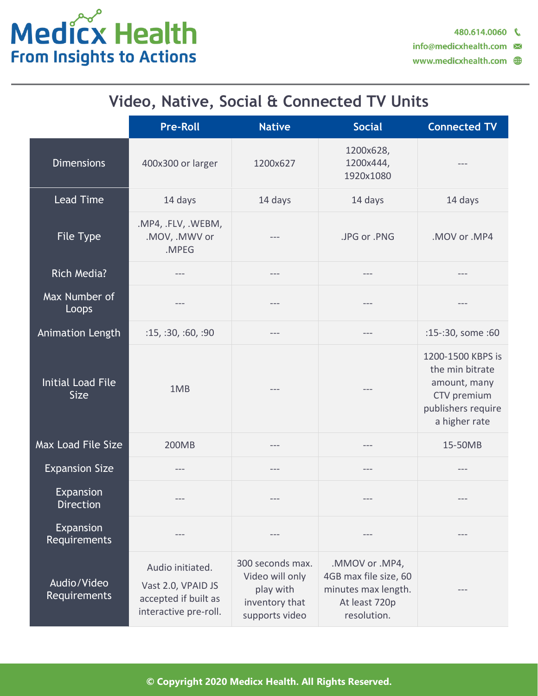

### **Video, Native, Social & Connected TV Units**

|                                         | <b>Pre-Roll</b>                                                                         | <b>Native</b>                                                                        | <b>Social</b>                                                                                  | <b>Connected TV</b>                                                                                        |
|-----------------------------------------|-----------------------------------------------------------------------------------------|--------------------------------------------------------------------------------------|------------------------------------------------------------------------------------------------|------------------------------------------------------------------------------------------------------------|
| <b>Dimensions</b>                       | 400x300 or larger                                                                       | 1200x627                                                                             | 1200x628,<br>1200x444,<br>1920x1080                                                            |                                                                                                            |
| <b>Lead Time</b>                        | 14 days                                                                                 | 14 days                                                                              | 14 days                                                                                        | 14 days                                                                                                    |
| File Type                               | .MP4, .FLV, .WEBM,<br>.MOV, .MWV or<br>.MPEG                                            |                                                                                      | .JPG or .PNG                                                                                   | .MOV or .MP4                                                                                               |
| <b>Rich Media?</b>                      | ---                                                                                     | ---                                                                                  | $---$                                                                                          | $---$                                                                                                      |
| Max Number of<br>Loops                  |                                                                                         | ---                                                                                  | $---$                                                                                          |                                                                                                            |
| Animation Length                        | :15, 30, 60, 90                                                                         | ---                                                                                  |                                                                                                | :15-:30, some :60                                                                                          |
| <b>Initial Load File</b><br><b>Size</b> | 1MB                                                                                     | ---                                                                                  |                                                                                                | 1200-1500 KBPS is<br>the min bitrate<br>amount, many<br>CTV premium<br>publishers require<br>a higher rate |
| Max Load File Size                      | 200MB                                                                                   | $---$                                                                                | $---$                                                                                          | 15-50MB                                                                                                    |
| <b>Expansion Size</b>                   |                                                                                         | ---                                                                                  |                                                                                                |                                                                                                            |
| Expansion<br><b>Direction</b>           | ---                                                                                     | ---                                                                                  |                                                                                                |                                                                                                            |
| Expansion<br>Requirements               | $---$                                                                                   | ---                                                                                  |                                                                                                | $---$                                                                                                      |
| Audio/Video<br>Requirements             | Audio initiated.<br>Vast 2.0, VPAID JS<br>accepted if built as<br>interactive pre-roll. | 300 seconds max.<br>Video will only<br>play with<br>inventory that<br>supports video | .MMOV or .MP4,<br>4GB max file size, 60<br>minutes max length.<br>At least 720p<br>resolution. |                                                                                                            |